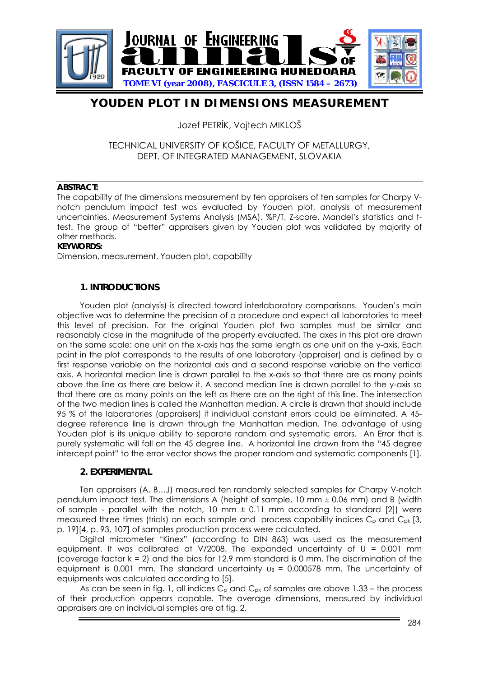

# **YOUDEN PLOT IN DIMENSIONS MEASUREMENT**

Jozef PETRÍK, Vojtech MIKLOŠ

## TECHNICAL UNIVERSITY OF KOŠICE, FACULTY OF METALLURGY, DEPT. OF INTEGRATED MANAGEMENT, SLOVAKIA

#### **ABSTRACT:**

The capability of the dimensions measurement by ten appraisers of ten samples for Charpy Vnotch pendulum impact test was evaluated by Youden plot, analysis of measurement uncertainties, Measurement Systems Analysis (MSA), %P/T, Z-score, Mandel's statistics and ttest. The group of "better" appraisers given by Youden plot was validated by majority of other methods.

#### **KEYWORDS:**

Dimension, measurement, Youden plot, capability

### **1. INTRODUCTIONS**

 Youden plot (analysis) is directed toward interlaboratory comparisons. Youden's main objective was to determine the precision of a procedure and expect all laboratories to meet this level of precision. For the original Youden plot two samples must be similar and reasonably close in the magnitude of the property evaluated. The axes in this plot are drawn on the same scale: one unit on the x-axis has the same length as one unit on the y-axis. Each point in the plot corresponds to the results of one laboratory (appraiser) and is defined by a first response variable on the horizontal axis and a second response variable on the vertical axis. A horizontal median line is drawn parallel to the x-axis so that there are as many points above the line as there are below it. A second median line is drawn parallel to the y-axis so that there are as many points on the left as there are on the right of this line. The intersection of the two median lines is called the Manhattan median. A circle is drawn that should include 95 % of the laboratories (appraisers) if individual constant errors could be eliminated. A 45 degree reference line is drawn through the Manhattan median. The advantage of using Youden plot is its unique ability to separate random and systematic errors. An Error that is purely systematic will fall on the 45 degree line. A horizontal line drawn from the "45 degree intercept point" to the error vector shows the proper random and systematic components [1].

### **2. EXPERIMENTAL**

Ten appraisers (A, B…J) measured ten randomly selected samples for Charpy V-notch pendulum impact test. The dimensions A (height of sample, 10 mm ± 0.06 mm) and B (width of sample - parallel with the notch, 10 mm  $\pm$  0.11 mm according to standard [2]) were measured three times (trials) on each sample and process capability indices  $C_p$  and  $C_{pk}$  [3, p. 19][4, p. 93, 107] of samples production process were calculated.

Digital micrometer "Kinex" (according to DIN 863) was used as the measurement equipment. It was calibrated at  $V/2008$ . The expanded uncertainty of  $U = 0.001$  mm (coverage factor k = 2) and the bias for 12.9 mm standard is 0 mm. The discrimination of the equipment is 0.001 mm. The standard uncertainty  $u_B = 0.000578$  mm. The uncertainty of equipments was calculated according to [5].

As can be seen in fig. 1, all indices  $C_p$  and  $C_{pk}$  of samples are above 1.33 – the process of their production appears capable. The average dimensions, measured by individual appraisers are on individual samples are at fig. 2.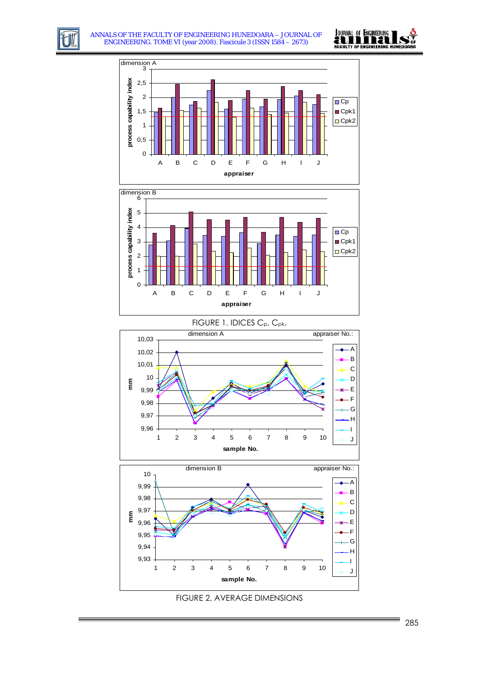











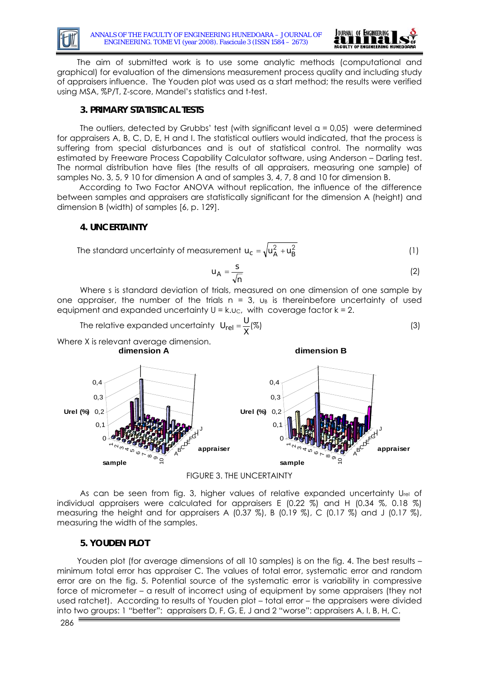



 The aim of submitted work is to use some analytic methods (computational and graphical) for evaluation of the dimensions measurement process quality and including study of appraisers influence. The Youden plot was used as a start method; the results were verified using MSA, %P/T, Z-score, Mandel's statistics and t-test.

### **3. PRIMARY STATISTICAL TESTS**

The outliers, detected by Grubbs' test (with significant level  $a = 0.05$ ) were determined for appraisers A, B, C, D, E, H and I. The statistical outliers would indicated, that the process is suffering from special disturbances and is out of statistical control. The normality was estimated by Freeware Process Capability Calculator software, using Anderson – Darling test. The normal distribution have files (the results of all appraisers, measuring one sample) of samples No. 3, 5, 9 10 for dimension A and of samples 3, 4, 7, 8 and 10 for dimension B.

 According to Two Factor ANOVA without replication, the influence of the difference between samples and appraisers are statistically significant for the dimension A (height) and dimension B (width) of samples [6, p. 129].

#### **4. UNCERTAINTY**

The standard uncertainty of measurement 
$$
u_c = \sqrt{u_A^2 + u_B^2}
$$
 (1)

$$
u_A = \frac{s}{\sqrt{n}} \tag{2}
$$

**dimension B**

Where s is standard deviation of trials, measured on one dimension of one sample by one appraiser, the number of the trials  $n = 3$ ,  $u_B$  is thereinbefore uncertainty of used equipment and expanded uncertainty  $U = k.uc$ , with coverage factor  $k = 2$ .

The relative expanded uncertainty 
$$
U_{rel} = \frac{U}{X}(\%)
$$
 (3)

Where X is relevant average dimension. **dimension A**



FIGURE 3. THE UNCERTAINTY

As can be seen from fig. 3, higher values of relative expanded uncertainty  $U_{rel}$  of individual appraisers were calculated for appraisers E (0.22 %) and H (0.34 %, 0.18 %) measuring the height and for appraisers A  $(0.37 \%)$ , B  $(0.19 \%)$ , C  $(0.17 \%)$  and J  $(0.17 \%)$ , measuring the width of the samples.

#### **5. YOUDEN PLOT**

Youden plot (for average dimensions of all 10 samples) is on the fig. 4. The best results – minimum total error has appraiser C. The values of total error, systematic error and random error are on the fig. 5. Potential source of the systematic error is variability in compressive force of micrometer – a result of incorrect using of equipment by some appraisers (they not used ratchet). According to results of Youden plot – total error – the appraisers were divided into two groups: 1 "better": appraisers D, F, G, E, J and 2 "worse": appraisers A, I, B, H, C.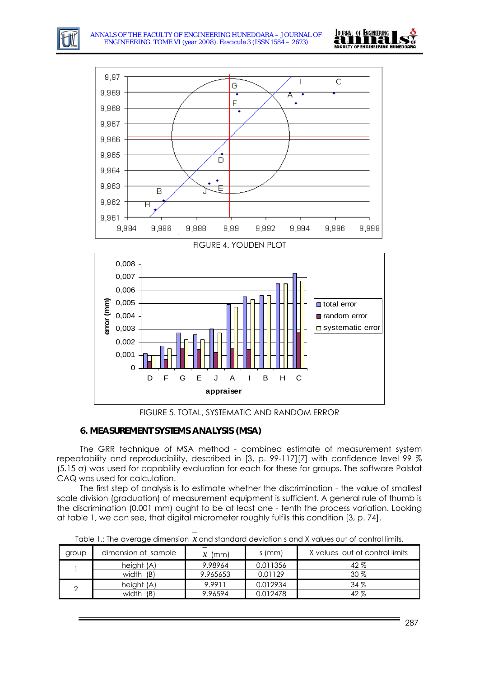



FIGURE 5. TOTAL, SYSTEMATIC AND RANDOM ERROR

## **6. MEASUREMENT SYSTEMS ANALYSIS (MSA)**

The GRR technique of MSA method - combined estimate of measurement system repeatability and reproducibility, described in [3, p. 99-117][7] with confidence level 99 % (5.15 σ) was used for capability evaluation for each for these for groups. The software Palstat CAQ was used for calculation.

The first step of analysis is to estimate whether the discrimination - the value of smallest scale division (graduation) of measurement equipment is sufficient. A general rule of thumb is the discrimination (0.001 mm) ought to be at least one - tenth the process variation. Looking at table 1, we can see, that digital micrometer roughly fulfils this condition [3, p. 74].

Table 1.: The average dimension *x* and standard deviation s and X values out of control limits.

| group | dimension of sample | (mm)     | s (mm)   | X values out of control limits |
|-------|---------------------|----------|----------|--------------------------------|
|       | height (A)          | 9.98964  | 0.011356 | 42%                            |
|       | width (B)           | 9.965653 | 0.01129  | 30%                            |
|       | height (A)          | 9.9911   | 0.012934 | 34%                            |
|       | width<br>(B)        | 9.96594  | 0.012478 | 42%                            |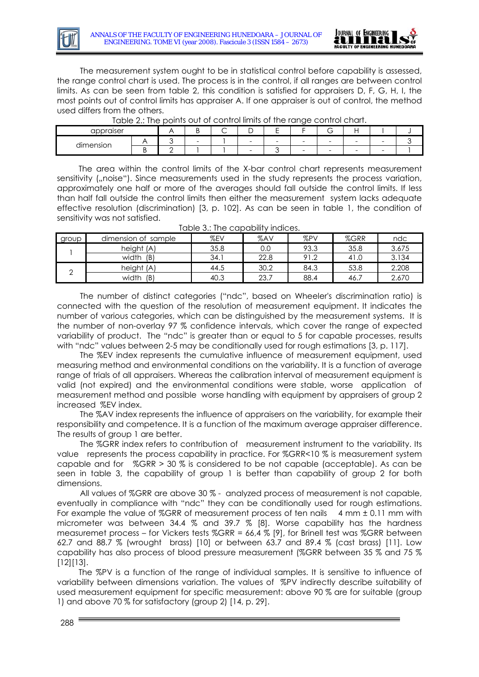



The measurement system ought to be in statistical control before capability is assessed, the ra nge control chart is used. The process is in the control, if all ranges are between control limits. As can be seen from table 2, this condition is satisfied for appraisers D, F, G, H, I, the most points out of control limits has appraiser A. If one appraiser is out of control, the method used differs from the others.

| TODIO 2.1 THO POINTS OUT OF CONTIUM INTIIS OF INTO TOHING CONTIUN CHOILS |  |  |   |        |                          |   |                          |                          |   |                          |  |
|--------------------------------------------------------------------------|--|--|---|--------|--------------------------|---|--------------------------|--------------------------|---|--------------------------|--|
| appraiser                                                                |  |  |   | ∽<br>◡ |                          |   |                          | 5.                       |   |                          |  |
| dimension                                                                |  |  | - |        | $\overline{\phantom{0}}$ | - | $\overline{\phantom{0}}$ | $\overline{\phantom{0}}$ | - | $\overline{\phantom{0}}$ |  |
|                                                                          |  |  |   |        |                          |   | $\overline{\phantom{0}}$ |                          | - |                          |  |
|                                                                          |  |  |   |        |                          |   |                          |                          |   |                          |  |

Table 2.: The points out of control limits of the range control chart.

 The area within the control limits of the X-bar control chart represents measurement sensitivity ("noise"). Since measurements used in the study represents the process variation, approximately one half or more of the averages should fall outside the control limits. If less than half fall outside the control limits then either the measurement system lacks adequate effective resolution (discrimination) [3, p. 102]. As can be seen in table 1, the condition of sensitivity was not satisfied.

| group | dimension of sample | %EV  | %AV  | %PV  | %GRR | ndc   |
|-------|---------------------|------|------|------|------|-------|
|       | height (A)          | 35.8 | 0.0  | 93.3 | 35.8 | 3.675 |
|       | (B)<br>width        | 34.1 | 22.8 | 91.2 | 41.U | 3.134 |
|       | height (A)          | 44.5 | 30.2 | 84.3 | 53.8 | 2.208 |
|       | (B)<br>width        | 40.3 | 23.7 | 88.4 | 46.  | 2.670 |

The number of distinct categories ("ndc", based on Wheeler's discrimination ratio) is conn ected with the question of the resolution of measurement equipment. It indicates the number of various categories, which can be distinguished by the measurement systems. It is the number of non-overlay 97 % confidence intervals, which cover the range of expected variability of product. The "ndc" is greater than or equal to 5 for capable processes, results with "ndc" values between 2-5 may be conditionally used for rough estimations [3, p. 117].

meas uring method and environmental conditions on the variability. It is a function of average The %EV index represents the cumulative influence of measurement equipment, used range of trials of all appraisers. Whereas the calibration interval of measurement equipment is valid (not expired) and the environmental conditions were stable, worse application of measurement method and possible worse handling with equipment by appraisers of group 2 increased %EV index.

The %AV index represents the influence of appraisers on the variability, for example their respo nsibility and competence. It is a function of the maximum average appraiser difference. The results of group 1 are better.

The %GRR index refers to contribution of measurement instrument to the variability. Its value represents the process capability in practice. For %GRR<10 % is measurement system capable and for %GRR > 30 % is considered to be not capable (acceptable). As can be seen in table 3, the capability of group 1 is better than capability of group 2 for both dimensions.

All values of %GRR are above 30% - analyzed process of measurement is not capable, event ually in compliance with "ndc" they can be conditionally used for rough estimations. For example the value of %GRR of measurement process of ten nails  $4 \text{ mm } \pm 0.11 \text{ mm with}$ micrometer was between 34.4 % and 39.7 % [8]. Worse capability has the hardness measuremet process – for Vickers tests %GRR = 66,4 % [9], for Brinell test was %GRR between 62.7 and 88.7 % (wrought brass) [10] or between 63.7 and 89.4 % (cast brass) [11]. Low capability has also process of blood pressure measurement (%GRR between 35 % and 75 % [12][13].

The %PV is a function of the range of individual samples. It is sensitive to influence of variability between dimensions variation. The values of %PV indirectly describe suitability of used measurement equipment for specific measurement: above 90 % are for suitable (group 1) and above 70 % for satisfactory (group 2) [14, p. 29].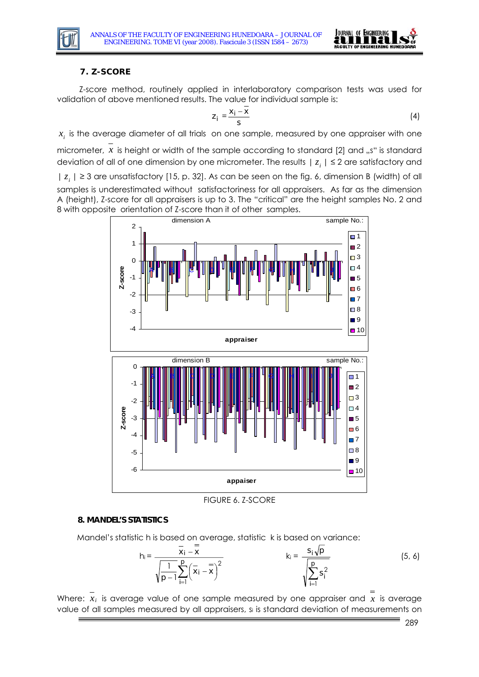



## **7. Z-SCORE**

 Z-score method, routinely applied in interlaboratory comparison tests was used for validation of above mentioned results. The value for individual sample is:

$$
z_i = \frac{x_i - \overline{x}}{s} \tag{4}
$$

 $x_i$  is the average diameter of all trials on one sample, measured by one appraiser with one

micrometer,  $x$  is height or width of the sample according to standard [2] and "s" is standard deviation of all of one dimension by one micrometer. The results  $|z_i| \leq 2$  are satisfactory and

 $| z_i | \geq 3$  are unsatisfactory [15, p. 32]. As can be seen on the fig. 6, dimension B (width) of all samples is underestimated without satisfactoriness for all appraisers. As far as the dimension A (height), Z-score for all appraisers is up to 3. The "critical" are the height samples No. 2 and 8 with opposite orientation of Z-score than it of other samples.



FIGURE 6. Z-SCORE

### **8. MANDEL'S STATISTICS**

Mandel's statistic h is based on average, statistic k is based on variance:

$$
h_i = \frac{\overline{x}_i - \overline{x}}{\sqrt{\frac{1}{p-1} \sum_{i=1}^p (\overline{x}_i - \overline{x})^2}} \qquad k_i = \frac{s_i \sqrt{p}}{\sqrt{\sum_{i=1}^p s_i^2}}
$$
(5, 6)

Where: *xi* is average value of one sample measured by one appraiser and *x* is average value of all samples measured by all appraisers, si is standard deviation of measurements on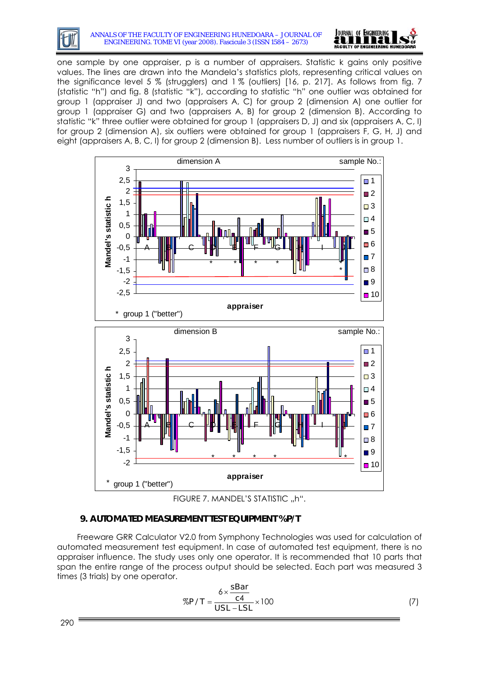#### ANNALS OF THE FACULTY OF ENGINEERING HUNEDOARA – JOURNAL OF ENGINEERING. TOME VI (year 2008). Fascicule 3 (ISSN 1584 – 2673)



one sample by one appraiser, p is a number of appraisers. Statistic k gains only positive values. The lines are drawn into the Mandela's statistics plots, representing critical values on the significance level 5 % (strugglers) and 1 % (outliers) [16, p. 217]. As follows from fig. 7 (statistic "h") and fig. 8 (statistic "k"), according to statistic "h" one outlier was obtained for group 1 (appraiser J) and two (appraisers A, C) for group 2 (dimension A) one outlier for group 1 (appraiser G) and two (appraisers A, B) for group 2 (dimension B). According to statistic "k" three outlier were obtained for group 1 (appraisers D, J) and six (appraisers A, C, I) for group 2 (dimension A), six outliers were obtained for group 1 (appraisers F, G, H, J) and eight (appraisers A, B, C, I) for group 2 (dimension B). Less number of outliers is in group 1.





## **9. AUTOMATED MEASU REMENT TEST EQUIPMENT %P/T**

Freeware GRR Calculator V2.0 from Symphony Technologies was used for calculation of automated measurement test equipment. In case of automated test equipment, there is no appraiser influence. The study uses only one operator. It is recommended that 10 parts that span the entire range of the process output should be selected. Each part was measured 3 times (3 trials) by one operator.

$$
\%P/T = \frac{6 \times \frac{\text{SBar}}{\text{c4}}}{\text{USL} - \text{LSL}} \times 100\tag{7}
$$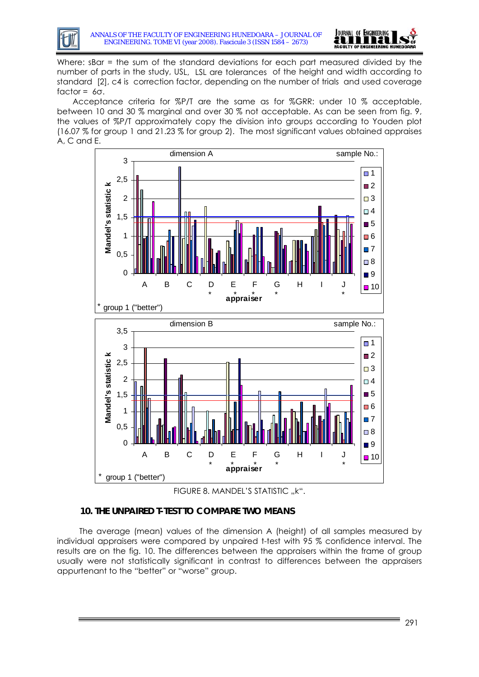



Where: sBar = the sum of the standard deviations for each part measured divided by the number of parts in the study, USL, LSL are tolerances of the height and width according to standard [2], c4 is correction factor, depending on the number of trials and used coverage factor =  $6\sigma$ .

the values of %P/T approximately copy the division into groups according to Youden plot Acceptance criteria for %P/T are the same as for %GRR: under 10 % acceptable, between 10 and 30 % marginal and over 30 % not acceptable. As can be seen from fig. 9, (16.07 % for group 1 and 21.23 % for group 2). The most significant values obtained appraises A, C and E.



FIGURE 8. MANDEL'S STATISTIC ...K".

## **10. THE UNPAIRED T-TEST TO COMPARE TWO MEANS**

 The average (mean) values of the dimension A (height) of all samples measured by individual appraisers were compared by unpaired t-test with 95 % confidence interval. The results are on the fig. 10. The differences between the appraisers within the frame of group usually were not statistically significant in contrast to differences between the appraisers appurtenant to the "better" or "worse" group.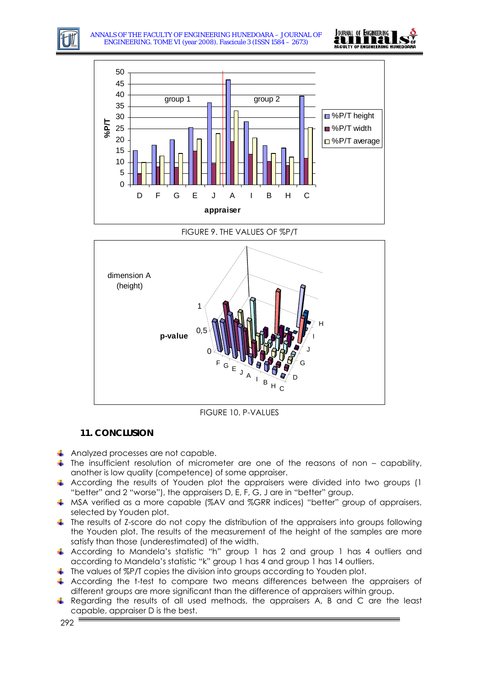





FIGURE 9. THE VALUES OF %P/T



FIGURE 10. P-VALUES

## **11. CONCLUSION**

- Analyzed processes are not capable.
- $\ddot{\phantom{1}}$  The insufficient resolution of micrometer are one of the reasons of non capability, another is low quality (competence) of some appraiser.
- According the results of Youden plot the appraisers were divided into two groups (1 "better" and 2 "worse"), the appraisers D, E, F, G, J are in "better" group.
- A MSA verified as a more capable (%AV and %GRR indices) "better" group of appraisers, selected by Youden plot.
- The results of Z-score do not copy the distribution of the appraisers into groups following the Youden plot. The results of the measurement of the height of the samples are more satisfy than those (underestimated) of the width.
- According to Mandela's statistic "h" group 1 has 2 and group 1 has 4 outliers and according to Mandela's statistic "k" group 1 has 4 and group 1 has 14 outliers.
- The values of %P/T copies the division into groups according to Youden plot.
- According the t-test to compare two means differences between the appraisers of different groups are more significant than the difference of appraisers within group.
- Regarding the results of all used methods, the appraisers A, B and C are the least capable, appraiser D is the best.